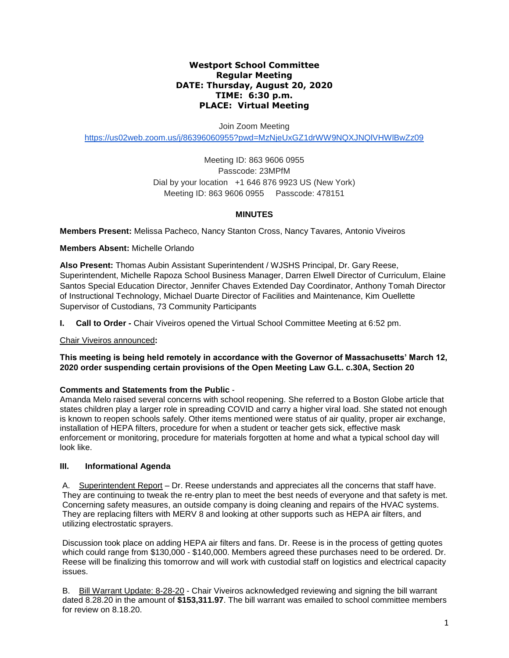## **Westport School Committee Regular Meeting DATE: Thursday, August 20, 2020 TIME: 6:30 p.m. PLACE: Virtual Meeting**

Join Zoom Meeting

<https://us02web.zoom.us/j/86396060955?pwd=MzNjeUxGZ1drWW9NQXJNQlVHWlBwZz09>

Meeting ID: 863 9606 0955 Passcode: 23MPfM Dial by your location +1 646 876 9923 US (New York) Meeting ID: 863 9606 0955 Passcode: 478151

# **MINUTES**

**Members Present:** Melissa Pacheco, Nancy Stanton Cross, Nancy Tavares*,* Antonio Viveiros

**Members Absent:** Michelle Orlando

**Also Present:** Thomas Aubin Assistant Superintendent / WJSHS Principal, Dr. Gary Reese, Superintendent, Michelle Rapoza School Business Manager, Darren Elwell Director of Curriculum, Elaine Santos Special Education Director, Jennifer Chaves Extended Day Coordinator, Anthony Tomah Director of Instructional Technology, Michael Duarte Director of Facilities and Maintenance, Kim Ouellette Supervisor of Custodians, 73 Community Participants

**I. Call to Order -** Chair Viveiros opened the Virtual School Committee Meeting at 6:52 pm.

Chair Viveiros announced**:** 

**This meeting is being held remotely in accordance with the Governor of Massachusetts' March 12, 2020 order suspending certain provisions of the Open Meeting Law G.L. c.30A, Section 20**

## **Comments and Statements from the Public** -

Amanda Melo raised several concerns with school reopening. She referred to a Boston Globe article that states children play a larger role in spreading COVID and carry a higher viral load. She stated not enough is known to reopen schools safely. Other items mentioned were status of air quality, proper air exchange, installation of HEPA filters, procedure for when a student or teacher gets sick, effective mask enforcement or monitoring, procedure for materials forgotten at home and what a typical school day will look like.

## **III. Informational Agenda**

A. Superintendent Report – Dr. Reese understands and appreciates all the concerns that staff have. They are continuing to tweak the re-entry plan to meet the best needs of everyone and that safety is met. Concerning safety measures, an outside company is doing cleaning and repairs of the HVAC systems. They are replacing filters with MERV 8 and looking at other supports such as HEPA air filters, and utilizing electrostatic sprayers.

Discussion took place on adding HEPA air filters and fans. Dr. Reese is in the process of getting quotes which could range from \$130,000 - \$140,000. Members agreed these purchases need to be ordered. Dr. Reese will be finalizing this tomorrow and will work with custodial staff on logistics and electrical capacity issues.

B. Bill Warrant Update: 8-28-20 - Chair Viveiros acknowledged reviewing and signing the bill warrant dated 8.28.20 in the amount of **\$153,311.97**. The bill warrant was emailed to school committee members for review on 8.18.20.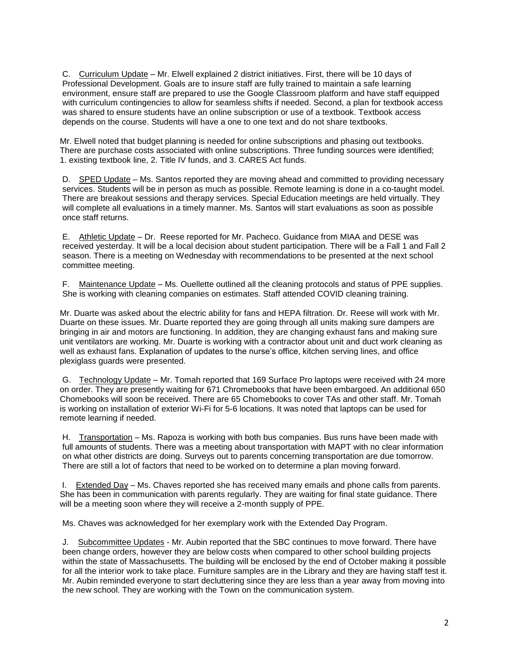C. Curriculum Update – Mr. Elwell explained 2 district initiatives. First, there will be 10 days of Professional Development. Goals are to insure staff are fully trained to maintain a safe learning environment, ensure staff are prepared to use the Google Classroom platform and have staff equipped with curriculum contingencies to allow for seamless shifts if needed. Second, a plan for textbook access was shared to ensure students have an online subscription or use of a textbook. Textbook access depends on the course. Students will have a one to one text and do not share textbooks.

Mr. Elwell noted that budget planning is needed for online subscriptions and phasing out textbooks. There are purchase costs associated with online subscriptions. Three funding sources were identified; 1. existing textbook line, 2. Title IV funds, and 3. CARES Act funds.

D. SPED Update – Ms. Santos reported they are moving ahead and committed to providing necessary services. Students will be in person as much as possible. Remote learning is done in a co-taught model. There are breakout sessions and therapy services. Special Education meetings are held virtually. They will complete all evaluations in a timely manner. Ms. Santos will start evaluations as soon as possible once staff returns.

E. Athletic Update – Dr. Reese reported for Mr. Pacheco. Guidance from MIAA and DESE was received yesterday. It will be a local decision about student participation. There will be a Fall 1 and Fall 2 season. There is a meeting on Wednesday with recommendations to be presented at the next school committee meeting.

F. Maintenance Update – Ms. Ouellette outlined all the cleaning protocols and status of PPE supplies. She is working with cleaning companies on estimates. Staff attended COVID cleaning training.

Mr. Duarte was asked about the electric ability for fans and HEPA filtration. Dr. Reese will work with Mr. Duarte on these issues. Mr. Duarte reported they are going through all units making sure dampers are bringing in air and motors are functioning. In addition, they are changing exhaust fans and making sure unit ventilators are working. Mr. Duarte is working with a contractor about unit and duct work cleaning as well as exhaust fans. Explanation of updates to the nurse's office, kitchen serving lines, and office plexiglass guards were presented.

G. Technology Update – Mr. Tomah reported that 169 Surface Pro laptops were received with 24 more on order. They are presently waiting for 671 Chromebooks that have been embargoed. An additional 650 Chomebooks will soon be received. There are 65 Chomebooks to cover TAs and other staff. Mr. Tomah is working on installation of exterior Wi-Fi for 5-6 locations. It was noted that laptops can be used for remote learning if needed.

H. Transportation – Ms. Rapoza is working with both bus companies. Bus runs have been made with full amounts of students. There was a meeting about transportation with MAPT with no clear information on what other districts are doing. Surveys out to parents concerning transportation are due tomorrow. There are still a lot of factors that need to be worked on to determine a plan moving forward.

I. Extended Day – Ms. Chaves reported she has received many emails and phone calls from parents. She has been in communication with parents regularly. They are waiting for final state guidance. There will be a meeting soon where they will receive a 2-month supply of PPE.

Ms. Chaves was acknowledged for her exemplary work with the Extended Day Program.

J. Subcommittee Updates - Mr. Aubin reported that the SBC continues to move forward. There have been change orders, however they are below costs when compared to other school building projects within the state of Massachusetts. The building will be enclosed by the end of October making it possible for all the interior work to take place. Furniture samples are in the Library and they are having staff test it. Mr. Aubin reminded everyone to start decluttering since they are less than a year away from moving into the new school. They are working with the Town on the communication system.